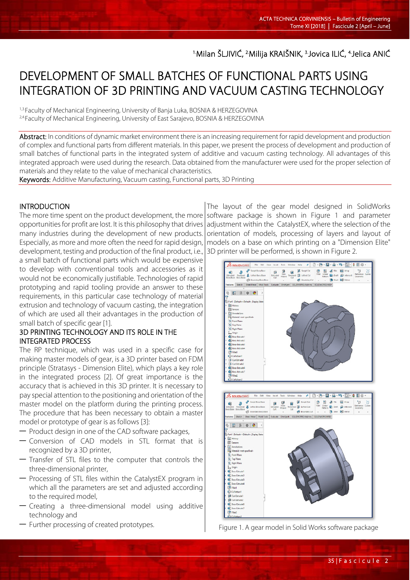<sup>1.</sup>Milan SLJIVIĆ, <sup>2.</sup>Milija KRAISNIK, <sup>3.</sup>Jovica ILIĆ, <sup>4.</sup>Jelica ANIĆ

# DEVELOPMENT OF SMALL BATCHES OF FUNCTIONAL PARTS USING INTEGRATION OF 3D PRINTING AND VACUUM CASTING TECHNOLOGY

1,3.Faculty of Mechanical Engineering, University of Banja Luka, BOSNIA & HERZEGOVINA <sup>2,4.</sup>Faculty of Mechanical Engineering, University of East Sarajevo, BOSNIA & HERZEGOVINA

Abstract: In conditions of dynamic market environment there is an increasing requirement for rapid development and production of complex and functional parts from different materials. In this paper, we present the process of development and production of small batches of functional parts in the integrated system of additive and vacuum casting technology. All advantages of this integrated approach were used during the research. Data obtained from the manufacturer were used for the proper selection of materials and they relate to the value of mechanical characteristics.

Keywords: Additive Manufacturing, Vacuum casting, Functional parts, 3D Printing

### **INTRODUCTION**

L

Тhe more time spent on the product development, the more opportunities for profit are lost. It is this philosophy that drives many industries during the development of new products. Especially, as more and more often the need for rapid design, development, testing and production of the final product, i.e.,

a small batch of functional parts which would be expensive to develop with conventional tools and accessories as it would not be economically justifiable. Technologies of rapid prototyping and rapid tooling provide an answer to these requirements, in this particular case technology of material extrusion and technology of vacuum casting, the integration of which are used all their advantages in the production of small batch of specific gear [1].

### 3D PRINTING TECHNOLOGY AND ITS ROLE IN THE INTEGRATED PROCESS

The RP technique, which was used in a specific case for making master models of gear, is a 3D printer based on FDM principle (Stratasys - Dimension Elite), which plays a key role in the integrated process [2]. Of great importance is the accuracy that is achieved in this 3D printer. It is necessary to pay special attention to the positioning and orientation of the master model on the platform during the printing process. The procedure that has been necessary to obtain a master model or prototype of gear is as follows [3]:

- Product design in one of the CAD software packages,
- Conversion of CAD models in STL format that is recognized by a 3D printer,
- Transfer of STL files to the computer that controls the three-dimensional printer,
- Processing of STL files within the CatalystEX program in which all the parameters are set and adjusted according to the required model,
- Creating a three-dimensional model using additive technology and
- Further processing of created prototypes.

The layout of the gear model designed in SolidWorks software package is shown in Figure 1 and parameter adjustment within the CatalystEX, where the selection of the orientation of models, processing of layers and layout of models on a base on which printing on a "Dimension Elite" 3D printer will be performed, is shown in Figure 2.



Figure 1. A gear model in Solid Works software package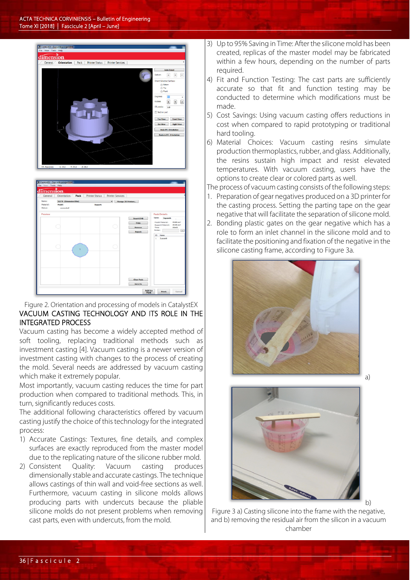



### Figure 2. Orientation and processing of models in CatalystEX VACUUM CASTING TECHNOLOGY AND ITS ROLE IN THE INTEGRATED PROCESS

Vacuum casting has become a widely accepted method of soft tooling, replacing traditional methods such as investment casting [4]. Vacuum casting is a newer version of investment casting with changes to the process of creating the mold. Several needs are addressed by vacuum casting which make it extremely popular.

Most importantly, vacuum casting reduces the time for part production when compared to traditional methods. This, in turn, significantly reduces costs.

The additional following characteristics offered by vacuum casting justify the choice of this technology for the integrated process:

- 1) Accurate Castings: Textures, fine details, and complex surfaces are exactly reproduced from the master model due to the replicating nature of the silicone rubber mold.
- 2) Consistent Quality: Vacuum casting produces dimensionally stable and accurate castings. The technique allows castings of thin wall and void-free sections as well. Furthermore, vacuum casting in silicone molds allows producing parts with undercuts because the pliable silicone molds do not present problems when removing cast parts, even with undercuts, from the mold.
- 3) Up to 95% Saving in Time: After the silicone mold has been created, replicas of the master model may be fabricated within a few hours, depending on the number of parts required.
- 4) Fit and Function Testing: The cast parts are sufficiently accurate so that fit and function testing may be conducted to determine which modifications must be made.
- 5) Cost Savings: Using vacuum casting offers reductions in cost when compared to rapid prototyping or traditional hard tooling.
- 6) Material Choices: Vacuum casting resins simulate production thermoplastics, rubber, and glass. Additionally, the resins sustain high impact and resist elevated temperatures. With vacuum casting, users have the options to create clear or colored parts as well.

The process of vacuum casting consists of the following steps:

- 1. Preparation of gear negatives produced on a 3D printer for the casting process. Setting the parting tape on the gear negative that will facilitate the separation of silicone mold.
- 2. Bonding plastic gates on the gear negative which has a role to form an inlet channel in the silicone mold and to facilitate the positioning and fixation of the negative in the silicone casting frame, according to Figure 3a.





Figure 3 a) Casting silicone into the frame with the negative, and b) removing the residual air from the silicon in a vacuum chamber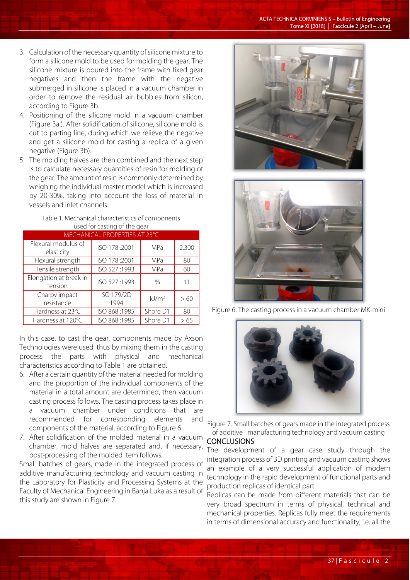- 3. Calculation of the necessary quantity of silicone mixture to form a silicone mold to be used for molding the gear. The silicone mixture is poured into the frame with fixed gear negatives and then the frame with the negative submerged in silicone is placed in a vacuum chamber in order to remove the residual air bubbles from silicon, according to Figure 3b.
- 4. Positioning of the silicone mold in a vacuum chamber (Figure 3a.). After solidification of silicone, silicone mold is cut to parting line, during which we relieve the negative and get a silicone mold for casting a replica of a given negative (Figure 3b).
- 5. The molding halves are then combined and the next step is to calculate necessary quantities of resin for molding of the gear. The amount of resin is commonly determined by weighing the individual master model which is increased by 20-30%, taking into account the loss of material in vessels and inlet channels.

| Table 1. Mechanical characteristics of components |  |
|---------------------------------------------------|--|
| used for casting of the gear                      |  |

|                                   | MECHANICAL PROPERTIES AT 23°C |                   |       |
|-----------------------------------|-------------------------------|-------------------|-------|
| Flexural modulus of<br>elasticity | ISO 178:2001                  | <b>MPa</b>        | 2.300 |
| Flexural strength                 | ISO 178:2001                  | MPa               | 80    |
| Tensile strength                  | ISO 527:1993                  | MPa               | 60    |
| Elongation at break in<br>tension | ISO 527:1993                  | $\frac{0}{0}$     | 11    |
| Charpy impact<br>resistance       | ISO 179/2D<br>:1994           | kJ/m <sup>2</sup> | >60   |
| Hardness at 23°C                  | ISO 868:1985                  | Shore D1          | 80    |
| Hardness at 120°C                 | ISO 868:1985                  | Shore D1          | >65   |

In this case, to cast the gear, components made by Axson Technologies were used, thus by mixing them in the casting process the parts with physical and mechanical characteristics according to Table 1 are obtained.

- 6. After a certain quantity of the material needed for molding and the proportion of the individual components of the material in a total amount are determined, then vacuum casting process follows. The casting process takes place in a vacuum chamber under conditions that are recommended for corresponding elements and components of the material, according to Figure 6.
- 7. After solidification of the molded material in a vacuum chamber, mold halves are separated and, if necessary, post-processing of the molded item follows.

Small batches of gears, made in the integrated process of additive manufacturing technology and vacuum casting in the Laboratory for Plasticity and Processing Systems at the Faculty of Mechanical Engineering in Banja Luka as a result of this study are shown in Figure 7.





Figure 6. The casting process in a vacuum chamber MK-mini



Figure 7. Small batches of gears made in the integrated process of additive manufacturing technology and vacuum casting

## **CONCLUSIONS**

The development of a gear case study through the integration process of 3D printing and vacuum casting shows an example of a very successful application of modern technology in the rapid development of functional parts and production replicas of identical part.

Replicas can be made from different materials that can be very broad spectrum in terms of physical, technical and mechanical properties. Replicas fully meet the requirements in terms of dimensional accuracy and functionality, i.e. all the